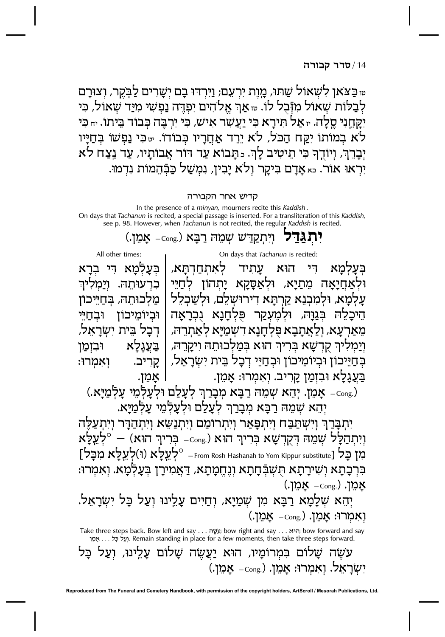## קדיש אחר הקבורה

In the presence of a minyan, mourners recite this Kaddish.

On days that Tachanun is recited, a special passage is inserted. For a transliteration of this Kaddish, see p. 98. However, when Tachanun is not recited, the regular Kaddish is recited.

וִיתְקַדַשׁ שָׁמֶה רַבַּא (Cong. אַמֶן.)

ברא

ובחיי

וּבזמן

ואמרו:

On days that Tachanun is recited: All other times: בעלמא לאתחרתא, עתיד הוא די בעלמא לחיי וּלְאַחֲיָאָה מֵתַיָּא, וּלְאַסָקָא יַתְהוֹן ברעותה. עָלְמָא, וּלְמִבְנֵא קַרִתָּא דִירוּשָׁלֵם, וּלְשַׁבִלֵל | מלכותה, בחייכוז נכראה | בִּגַוָּה, וּלְמֵעָקַר פִּלְחַנַא היכלה וביומיכון מֶאַרְעָא, וְלַאֲתָבָא פְּלִחָנָא דִשְׁמַיַּא לְאַתְרֵהּ, | דְּבַל בֵּית יִשְׁרֹאֵל, בַעֲגַכָא וִיַמִלִיךְ קְדִשָׁא בִרִיךְ הוא בִמַלְכוּתֶה וִיקָרֵה, | בְחַיֵּיכוֹן וּבִיוֹמֵיכוֹן וּבְחַיֵּי דְכָל בֵּית יִשְׂרָאֵל, | ַקריב. בַעֲנָלָא וּבזִמַן קָרִיב. וִאמִרוּ: אָמֵן. אַמָן.

(.כַּמֵּיָא. יְהֵא שְׁמֵהּ רַבָּא מְבָרַךְ לְעָלַם וּלְעַלְמֵי עַלְמַיַּא.) - אָמֵן. יְהֵא שְׁמֵהּ יִהֵא שִׁמֵה רַבָּא מִבְרַךְ לִעָלַם וּלְעָלְמֵי עַלְמַיַּא.

יִתְבָּרַךְ וְיִשְׁתַּבַּח וְיִתְפָּאַר וְיִתְרוֹמַם וְיִתְנַשֵּׂא וִיִתְהַדָּר וִיִתְעַלֵּה יִיתְהַלָּל שְׁמֵהּ דְקָדְשָׁא בְּרִיךְ הוּא (cong.) בְּרִיךְ הוּא ~  $^\circ$ לְעֵלָּא מְן כֵּל [אוֹפָלָא (וּ)לְעֵלַּא (וּ - From Rosh Hashanah to Yom Kippur substitute] קובַל בִּרְכַתַא וְשִׁירַתַא תִשְׁבִּחַתַא וְנֵחֱמַתַא, דַּאֲמִירַן בְּעַלְמַא. וְאִמְרוּ: אָמֶן. (.cong. אָמֶן.)

יְהֵא שְׁלָמָא רַבָּא מִן שְׁמַיָּא, וְחַיִּים עָלֵינוּ וְעַל כָּל יִשְׂרָאֵל. (אָמְרוּ: אַמֶן. (.cong. אַמֶן.

Take three steps back. Bow left and say . . . שָׁמָּה. . bow right and say . . . . win; bow forward and say ועל פל . . . אמו. Remain standing in place for a few moments, then take three steps forward.

עשֶׁה שָׁלוֹם בִּמְרוֹמַיו, הוּא יַעֲשֶׂה שָׁלוֹם עָלֵינוּ, וְעַל כָּל יִשְׁרַאֵל. וְאִמְרוּ: אָמֵן. (.cong. אָמֵן.)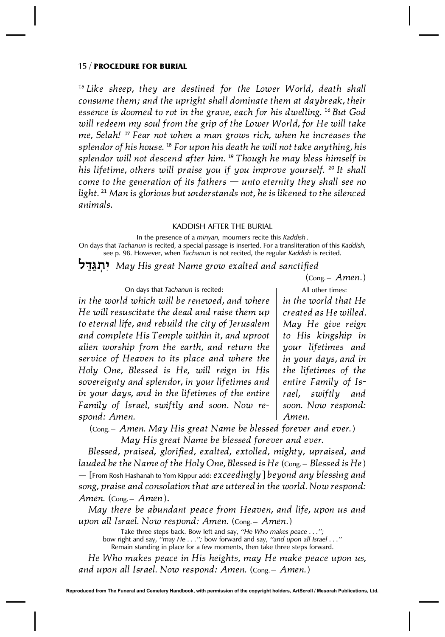## KADDISH AFTER THE BURIAL

In the presence of a minyan, mourners recite this Kaddish. On days that Tachanun is recited, a special passage is inserted. For a transliteration of this Kaddish, see p. 98. However, when Tachanun is not recited, the regular Kaddish is recited.

May His great Name grow exalted and sanctified

On days that Tachanun is recited:

 $(Cone - Amen.)$ 

in the world which will be renewed, and where He will resuscitate the dead and raise them up to eternal life, and rebuild the city of Jerusalem and complete His Temple within it, and uproot alien worship from the earth, and return the service of Heaven to its place and where the Holy One, Blessed is He, will reign in His sovereignty and splendor, in your lifetimes and in your days, and in the lifetimes of the entire Family of Israel, swiftly and soon. Now respond: Amen.

All other times:

in the world that He created as He willed. May He give reign to His kingship in your lifetimes and in your days, and in the lifetimes of the entire Family of Israel, swiftly and soon. Now respond: Amen.

(Cong. – Amen. May His great Name be blessed forever and ever.)

May His great Name be blessed forever and ever.

Blessed, praised, glorified, exalted, extolled, mighty, upraised, and lauded be the Name of the Holy One, Blessed is He (Cong.  $-$  Blessed is He) - [From Rosh Hashanah to Yom Kippur add: exceedingly] beyond any blessing and song, praise and consolation that are uttered in the world. Now respond: Amen. (Cong. - Amen).

May there be abundant peace from Heaven, and life, upon us and upon all Israel. Now respond: Amen. (Cong. - Amen.)

Take three steps back. Bow left and say, "He Who makes peace . . .";

bow right and say, "may He . . ."; bow forward and say, "and upon all Israel . . ." Remain standing in place for a few moments, then take three steps forward.

He Who makes peace in His heights, may He make peace upon us, and upon all Israel. Now respond: Amen. (Cong. - Amen.)